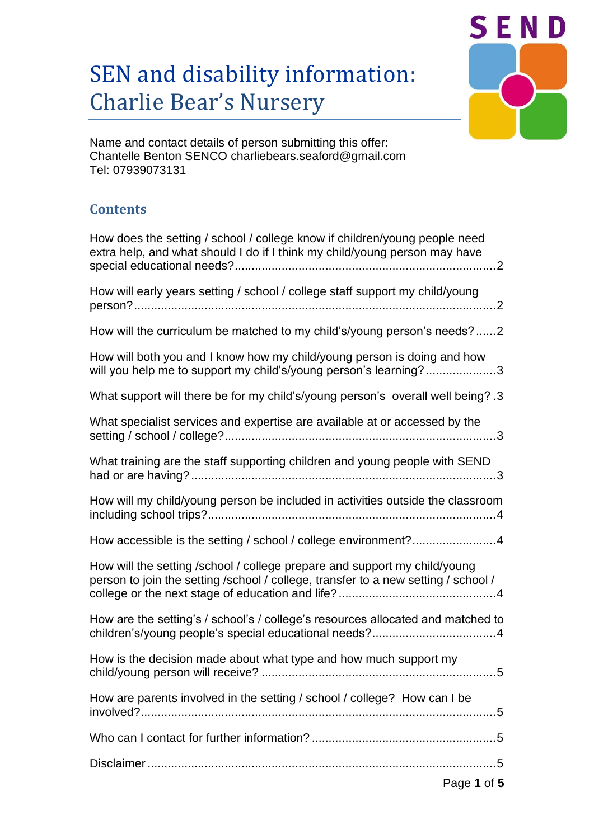# SEN and disability information: Charlie Bear's Nursery



Name and contact details of person submitting this offer: Chantelle Benton SENCO charliebears.seaford@gmail.com Tel: 07939073131

# **Contents**

| How does the setting / school / college know if children/young people need<br>extra help, and what should I do if I think my child/young person may have        |
|-----------------------------------------------------------------------------------------------------------------------------------------------------------------|
| How will early years setting / school / college staff support my child/young                                                                                    |
| How will the curriculum be matched to my child's/young person's needs?2                                                                                         |
| How will both you and I know how my child/young person is doing and how<br>will you help me to support my child's/young person's learning?3                     |
| What support will there be for my child's/young person's overall well being? .3                                                                                 |
| What specialist services and expertise are available at or accessed by the                                                                                      |
| What training are the staff supporting children and young people with SEND                                                                                      |
| How will my child/young person be included in activities outside the classroom                                                                                  |
| How accessible is the setting / school / college environment?4                                                                                                  |
| How will the setting /school / college prepare and support my child/young<br>person to join the setting /school / college, transfer to a new setting / school / |
| How are the setting's / school's / college's resources allocated and matched to                                                                                 |
| How is the decision made about what type and how much support my                                                                                                |
| How are parents involved in the setting / school / college? How can I be                                                                                        |
|                                                                                                                                                                 |
|                                                                                                                                                                 |
| Page 1 of 5                                                                                                                                                     |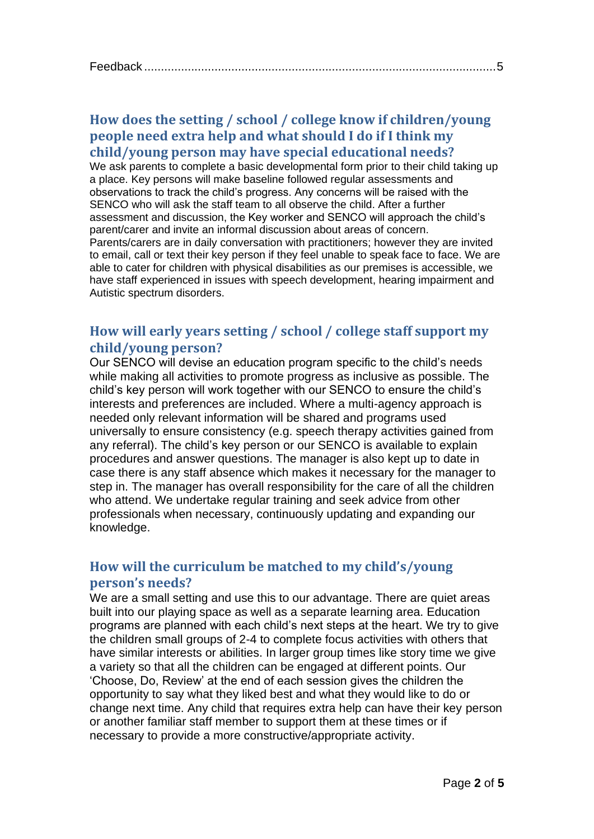## <span id="page-1-0"></span>**How does the setting / school / college know if children/young people need extra help and what should I do if I think my child/young person may have special educational needs?**

We ask parents to complete a basic developmental form prior to their child taking up a place. Key persons will make baseline followed regular assessments and observations to track the child's progress. Any concerns will be raised with the SENCO who will ask the staff team to all observe the child. After a further assessment and discussion, the Key worker and SENCO will approach the child's parent/carer and invite an informal discussion about areas of concern. Parents/carers are in daily conversation with practitioners; however they are invited to email, call or text their key person if they feel unable to speak face to face. We are able to cater for children with physical disabilities as our premises is accessible, we have staff experienced in issues with speech development, hearing impairment and Autistic spectrum disorders.

# <span id="page-1-1"></span>**How will early years setting / school / college staff support my child/young person?**

Our SENCO will devise an education program specific to the child's needs while making all activities to promote progress as inclusive as possible. The child's key person will work together with our SENCO to ensure the child's interests and preferences are included. Where a multi-agency approach is needed only relevant information will be shared and programs used universally to ensure consistency (e.g. speech therapy activities gained from any referral). The child's key person or our SENCO is available to explain procedures and answer questions. The manager is also kept up to date in case there is any staff absence which makes it necessary for the manager to step in. The manager has overall responsibility for the care of all the children who attend. We undertake regular training and seek advice from other professionals when necessary, continuously updating and expanding our knowledge.

# <span id="page-1-2"></span>**How will the curriculum be matched to my child's/young person's needs?**

We are a small setting and use this to our advantage. There are quiet areas built into our playing space as well as a separate learning area. Education programs are planned with each child's next steps at the heart. We try to give the children small groups of 2-4 to complete focus activities with others that have similar interests or abilities. In larger group times like story time we give a variety so that all the children can be engaged at different points. Our 'Choose, Do, Review' at the end of each session gives the children the opportunity to say what they liked best and what they would like to do or change next time. Any child that requires extra help can have their key person or another familiar staff member to support them at these times or if necessary to provide a more constructive/appropriate activity.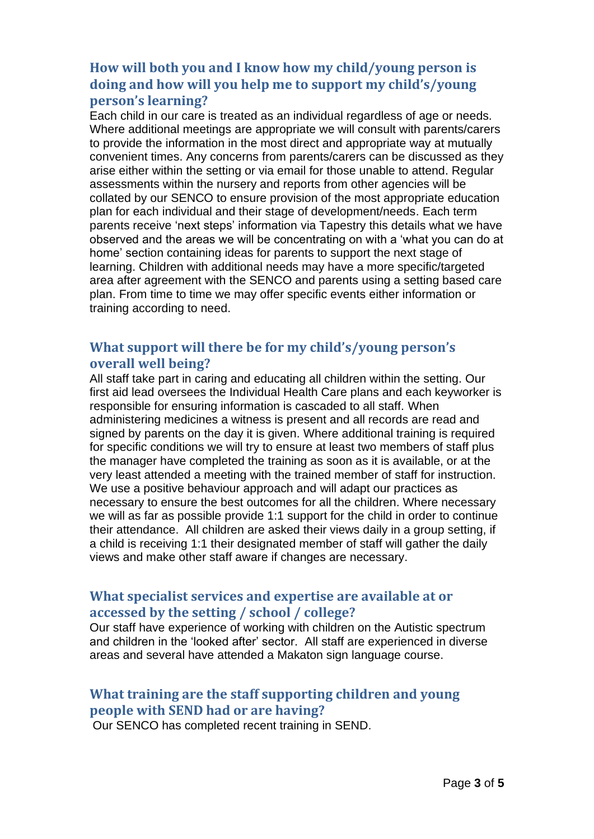# <span id="page-2-0"></span>**How will both you and I know how my child/young person is doing and how will you help me to support my child's/young person's learning?**

Each child in our care is treated as an individual regardless of age or needs. Where additional meetings are appropriate we will consult with parents/carers to provide the information in the most direct and appropriate way at mutually convenient times. Any concerns from parents/carers can be discussed as they arise either within the setting or via email for those unable to attend. Regular assessments within the nursery and reports from other agencies will be collated by our SENCO to ensure provision of the most appropriate education plan for each individual and their stage of development/needs. Each term parents receive 'next steps' information via Tapestry this details what we have observed and the areas we will be concentrating on with a 'what you can do at home' section containing ideas for parents to support the next stage of learning. Children with additional needs may have a more specific/targeted area after agreement with the SENCO and parents using a setting based care plan. From time to time we may offer specific events either information or training according to need.

## <span id="page-2-1"></span>**What support will there be for my child's/young person's overall well being?**

All staff take part in caring and educating all children within the setting. Our first aid lead oversees the Individual Health Care plans and each keyworker is responsible for ensuring information is cascaded to all staff. When administering medicines a witness is present and all records are read and signed by parents on the day it is given. Where additional training is required for specific conditions we will try to ensure at least two members of staff plus the manager have completed the training as soon as it is available, or at the very least attended a meeting with the trained member of staff for instruction. We use a positive behaviour approach and will adapt our practices as necessary to ensure the best outcomes for all the children. Where necessary we will as far as possible provide 1:1 support for the child in order to continue their attendance. All children are asked their views daily in a group setting, if a child is receiving 1:1 their designated member of staff will gather the daily views and make other staff aware if changes are necessary.

## <span id="page-2-2"></span>**What specialist services and expertise are available at or accessed by the setting / school / college?**

Our staff have experience of working with children on the Autistic spectrum and children in the 'looked after' sector. All staff are experienced in diverse areas and several have attended a Makaton sign language course.

# <span id="page-2-3"></span>**What training are the staff supporting children and young people with SEND had or are having?**

Our SENCO has completed recent training in SEND.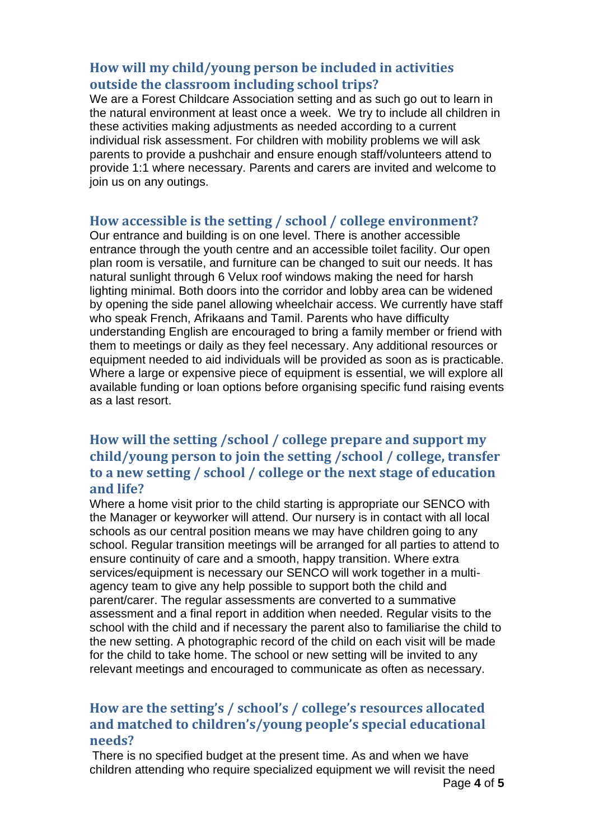#### <span id="page-3-0"></span>**How will my child/young person be included in activities outside the classroom including school trips?**

We are a Forest Childcare Association setting and as such go out to learn in the natural environment at least once a week. We try to include all children in these activities making adjustments as needed according to a current individual risk assessment. For children with mobility problems we will ask parents to provide a pushchair and ensure enough staff/volunteers attend to provide 1:1 where necessary. Parents and carers are invited and welcome to join us on any outings.

#### <span id="page-3-1"></span>**How accessible is the setting / school / college environment?**

Our entrance and building is on one level. There is another accessible entrance through the youth centre and an accessible toilet facility. Our open plan room is versatile, and furniture can be changed to suit our needs. It has natural sunlight through 6 Velux roof windows making the need for harsh lighting minimal. Both doors into the corridor and lobby area can be widened by opening the side panel allowing wheelchair access. We currently have staff who speak French, Afrikaans and Tamil. Parents who have difficulty understanding English are encouraged to bring a family member or friend with them to meetings or daily as they feel necessary. Any additional resources or equipment needed to aid individuals will be provided as soon as is practicable. Where a large or expensive piece of equipment is essential, we will explore all available funding or loan options before organising specific fund raising events as a last resort.

# <span id="page-3-2"></span>**How will the setting /school / college prepare and support my child/young person to join the setting /school / college, transfer to a new setting / school / college or the next stage of education and life?**

Where a home visit prior to the child starting is appropriate our SENCO with the Manager or keyworker will attend. Our nursery is in contact with all local schools as our central position means we may have children going to any school. Regular transition meetings will be arranged for all parties to attend to ensure continuity of care and a smooth, happy transition. Where extra services/equipment is necessary our SENCO will work together in a multiagency team to give any help possible to support both the child and parent/carer. The regular assessments are converted to a summative assessment and a final report in addition when needed. Regular visits to the school with the child and if necessary the parent also to familiarise the child to the new setting. A photographic record of the child on each visit will be made for the child to take home. The school or new setting will be invited to any relevant meetings and encouraged to communicate as often as necessary.

# <span id="page-3-3"></span>**How are the setting's / school's / college's resources allocated and matched to children's/young people's special educational needs?**

Page **4** of **5** There is no specified budget at the present time. As and when we have children attending who require specialized equipment we will revisit the need